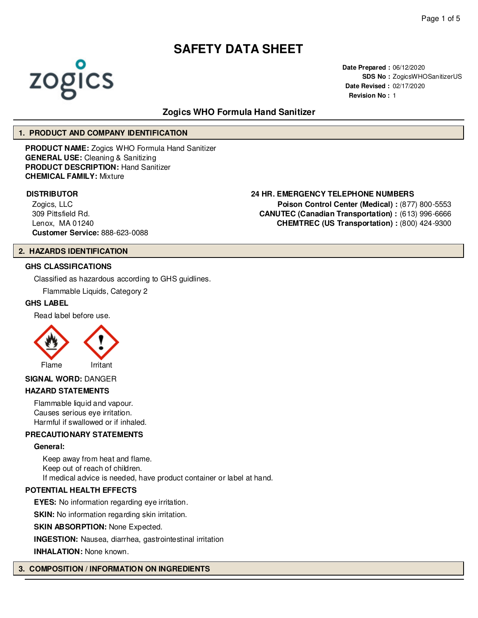

**Date Prepared :** 06/12/2020 **SDS No :** ZogicsWHOSanitizerUS **Date Revised :** 02/17/2020 **Revision No :** 1

# **Zogics WHO Formula Hand Sanitizer**

# **1. PRODUCT AND COMPANY IDENTIFICATION**

**PRODUCT NAME:** Zogics WHO Formula Hand Sanitizer **GENERAL USE:** Cleaning & Sanitizing **PRODUCT DESCRIPTION:** Hand Sanitizer **CHEMICAL FAMILY:** Mixture

Zogics, LLC 309 Pittsfield Rd. Lenox, MA 01240 **Customer Service:** 888-623-0088

#### **2. HAZARDS IDENTIFICATION**

# **GHS CLASSIFICATIONS**

Classified as hazardous according to GHS guidlines.

Flammable Liquids, Category 2

#### **GHS LABEL**

Read label before use.



#### **SIGNAL WORD:** DANGER

#### **HAZARD STATEMENTS**

Flammable liquid and vapour. Causes serious eye irritation. Harmful if swallowed or if inhaled.

#### **PRECAUTIONARY STATEMENTS**

#### **General:**

Keep away from heat and flame. Keep out of reach of children. If medical advice is needed, have product container or label at hand.

#### **POTENTIAL HEALTH EFFECTS**

**EYES:** No information regarding eye irritation.

**SKIN:** No information regarding skin irritation.

**SKIN ABSORPTION: None Expected.** 

**INGESTION:** Nausea, diarrhea, gastrointestinal irritation

**INHALATION:** None known.

#### **3. COMPOSITION / INFORMATION ON INGREDIENTS**

#### **DISTRIBUTOR 24 HR. EMERGENCY TELEPHONE NUMBERS**

**Poison Control Center (Medical) :** (877) 800-5553 **CANUTEC (Canadian Transportation) :** (613) 996-6666 **CHEMTREC (US Transportation) :** (800) 424-9300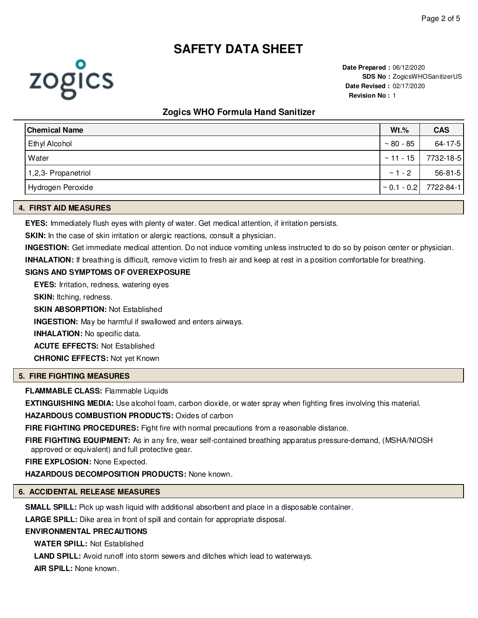**Date Prepared :** 06/12/2020 **SDS No : ZogicsWHOSanitizerUS Date Revised :** 02/17/2020 **Revision No :** 1

# **Zogics WHO Formula Hand Sanitizer**

| Chemical Name       | $Wt.\%$          | <b>CAS</b>                 |
|---------------------|------------------|----------------------------|
| Ethyl Alcohol       | $\sim 80$ - $85$ | $64 - 17 - 5$              |
| Water               | $~\sim$ 11 - 15  | 7732-18-5                  |
| 1,2,3- Propanetriol | $\sim$ 1 - 2     | $56 - 81 - 5$              |
| Hydrogen Peroxide   |                  | $\sim$ 0.1 - 0.2 7722-84-1 |

# **4. FIRST AID MEASURES**

**EYES:** Immediately flush eyes with plenty of water. Get medical attention, if irritation persists.

**SKIN:** In the case of skin irritation or alergic reactions, consult a physician.

**INGESTION:** Get immediate medical attention. Do not induce vomiting unless instructed to do so by poison center or physician.

**INHALATION:** If breathing is difficult, remove victim to fresh air and keep at rest in a position comfortable for breathing.

# **SIGNS AND SYMPTOMS OF OVEREXPOSURE**

**EYES:** Irritation, redness, watering eyes

**SKIN:** Itching, redness.

**SKIN ABSORPTION:** Not Established

**INGESTION:** May be harmful if swallowed and enters airways.

**INHALATION:** No specific data.

**ACUTE EFFECTS:** Not Established

**CHRONIC EFFECTS:** Not yet Known

# **5. FIRE FIGHTING MEASURES**

**FLAMMABLE CLASS:** Flammable Liquids

**EXTINGUISHING MEDIA:** Use alcohol foam, carbon dioxide, or water spray when fighting fires involving this material.

**HAZARDOUS COMBUSTION PRODUCTS:** Oxides of carbon

**FIRE FIGHTING PROCEDURES:** Fight fire with normal precautions from a reasonable distance.

**FIRE FIGHTING EQUIPMENT:** As in any fire, wear self-contained breathing apparatus pressure-demand, (MSHA/NIOSH approved or equivalent) and full protective gear.

**FIRE EXPLOSION:** None Expected.

**HAZARDOUS DECOMPOSITION PRODUCTS:** None known.

#### **6. ACCIDENTAL RELEASE MEASURES**

**SMALL SPILL:** Pick up wash liquid with additional absorbent and place in a disposable container.

**LARGE SPILL:** Dike area in front of spill and contain for appropriate disposal.

### **ENVIRONMENTAL PRECAUTIONS**

**WATER SPILL:** Not Established

**LAND SPILL:** Avoid runoff into storm sewers and ditches which lead to waterways.

**AIR SPILL:** None known.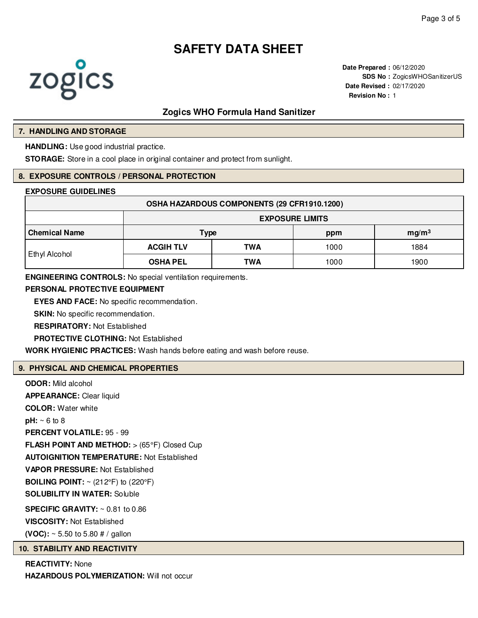

**Date Prepared :** 06/12/2020 **SDS No :** ZogicsWHOSanitizerUS **Date Revised :** 02/17/2020 **Revision No :** 1

# **Zogics WHO Formula Hand Sanitizer**

#### **7. HANDLING AND STORAGE**

**HANDLING:** Use good industrial practice.

**STORAGE:** Store in a cool place in original container and protect from sunlight.

#### **8. EXPOSURE CONTROLS / PERSONAL PROTECTION**

#### **EXPOSURE GUIDELINES**

| OSHA HAZARDOUS COMPONENTS (29 CFR1910.1200) |                        |     |      |                   |  |  |
|---------------------------------------------|------------------------|-----|------|-------------------|--|--|
|                                             | <b>EXPOSURE LIMITS</b> |     |      |                   |  |  |
| <b>Chemical Name</b>                        | <b>Type</b>            |     | ppm  | mg/m <sup>3</sup> |  |  |
| Ethyl Alcohol                               | <b>ACGIH TLV</b>       | TWA | 1000 | 1884              |  |  |
|                                             | <b>OSHA PEL</b>        | TWA | 1000 | 1900              |  |  |

**ENGINEERING CONTROLS:** No special ventilation requirements.

#### **PERSONAL PROTECTIVE EQUIPMENT**

**EYES AND FACE:** No specific recommendation.

**SKIN:** No specific recommendation.

**RESPIRATORY:** Not Established

**PROTECTIVE CLOTHING:** Not Established

**WORK HYGIENIC PRACTICES:** Wash hands before eating and wash before reuse.

#### **9. PHYSICAL AND CHEMICAL PROPERTIES**

**ODOR:** Mild alcohol **APPEARANCE:** Clear liquid **COLOR:** Water white **pH:** ~ 6 to 8 **PERCENT VOLATILE:** 95 - 99 **FLASH POINT AND METHOD:** > (65°F) Closed Cup **AUTOIGNITION TEMPERATURE:** Not Established **VAPOR PRESSURE:** Not Established **BOILING POINT:**  $\sim$  (212°F) to (220°F) **SOLUBILITY IN WATER:** Soluble **SPECIFIC GRAVITY:** ~ 0.81 to 0.86 **VISCOSITY:** Not Established **(VOC):** ~ 5.50 to 5.80 # / gallon

#### **10. STABILITY AND REACTIVITY**

**REACTIVITY:** None **HAZARDOUS POLYMERIZATION:** Will not occur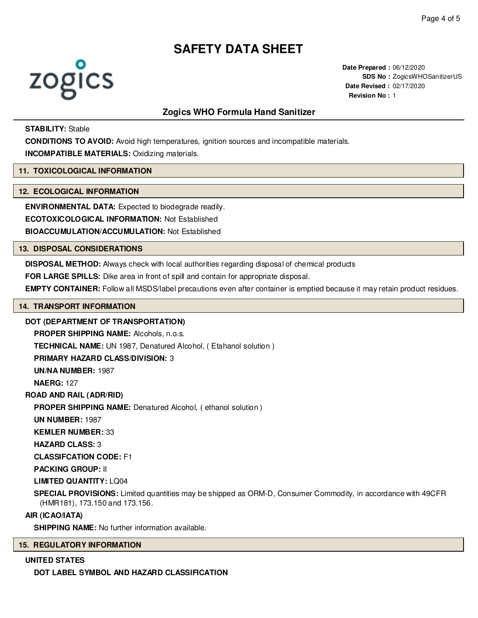

**Date Prepared :** 06/12/2020 **SDS No : ZogicsWHOSanitizerUS Date Revised :** 02/17/2020 **Revision No :** 1

# **Zogics WHO Formula Hand Sanitizer**

# **STABILITY:** Stable

**CONDITIONS TO AVOID:** Avoid high temperatures, ignition sources and incompatible materials.

**INCOMPATIBLE MATERIALS:** Oxidizing materials.

### **11. TOXICOLOGICAL INFORMATION**

#### **12. ECOLOGICAL INFORMATION**

**ENVIRONMENTAL DATA:** Expected to biodegrade readily. **ECOTOXICOLOGICAL INFORMATION:** Not Established **BIOACCUMULATION/ACCUMULATION:** Not Established

#### **13. DISPOSAL CONSIDERATIONS**

**DISPOSAL METHOD:** Always check with local authorities regarding disposal of chemical products

**FOR LARGE SPILLS:** Dike area in front of spill and contain for appropriate disposal.

**EMPTY CONTAINER:** Follow all MSDS/label precautions even after container is emptied because it may retain product residues.

# **14. TRANSPORT INFORMATION**

#### **DOT (DEPARTMENT OF TRANSPORTATION)**

**PROPER SHIPPING NAME:** Alcohols, n.o.s.

**TECHNICAL NAME:** UN 1987, Denatured Alcohol, ( Etahanol solution )

**PRIMARY HAZARD CLASS/DIVISION:** 3

**UN/NA NUMBER:** 1987

**NAERG:** 127

**ROAD AND RAIL (ADR/RID)**

**PROPER SHIPPING NAME:** Denatured Alcohol, ( ethanol solution )

**UN NUMBER:** 1987

**KEMLER NUMBER:** 33

**HAZARD CLASS:** 3

**CLASSIFCATION CODE:** F1

**PACKING GROUP:** II

**LIMITED QUANTITY:** LQ04

**SPECIAL PROVISIONS:** Limited quantities may be shipped as ORM-D, Consumer Commodity, in accordance with 49CFR (HMR181), 173.150 and 173.156.

# **AIR (ICAO/IATA)**

**SHIPPING NAME:** No further information available.

# **15. REGULATORY INFORMATION**

### **UNITED STATES**

**DOT LABEL SYMBOL AND HAZARD CLASSIFICATION**